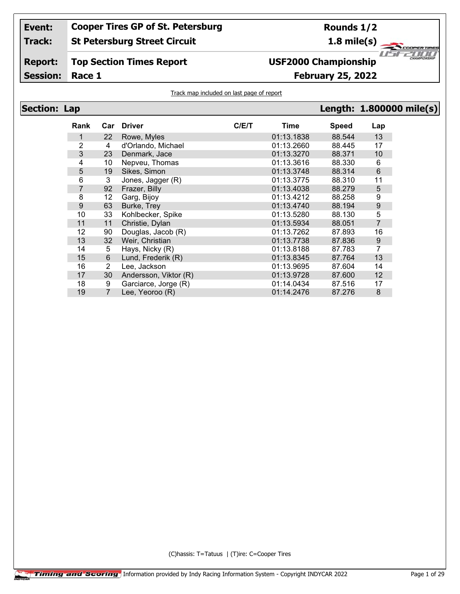**Track: St Petersburg Street Circuit**

### **Report: Top Section Times Report**

**Session:**

## **USF2000 Championship**

**Race 1 February 25, 2022**

### Track map included on last page of report

| <b>Section: Lap</b> |                  |                       |                       |       |            |              |                  | Length: 1.800000 mile(s) |
|---------------------|------------------|-----------------------|-----------------------|-------|------------|--------------|------------------|--------------------------|
|                     | Rank             |                       | Car Driver            | C/E/T | Time       | <b>Speed</b> | Lap              |                          |
|                     | 1                | 22                    | Rowe, Myles           |       | 01:13.1838 | 88.544       | 13               |                          |
|                     | $\overline{2}$   | 4                     | d'Orlando, Michael    |       | 01:13.2660 | 88.445       | 17               |                          |
|                     | $\mathfrak{S}$   | 23                    | Denmark, Jace         |       | 01:13.3270 | 88.371       | 10               |                          |
|                     | 4                | 10 <sup>°</sup>       | Nepveu, Thomas        |       | 01:13.3616 | 88.330       | 6                |                          |
|                     | 5                | 19                    | Sikes, Simon          |       | 01:13.3748 | 88.314       | $\,6\,$          |                          |
|                     | 6                | 3                     | Jones, Jagger (R)     |       | 01:13.3775 | 88.310       | 11               |                          |
|                     | 7                | 92                    | Frazer, Billy         |       | 01:13.4038 | 88.279       | 5                |                          |
|                     | 8                | 12 <sub>2</sub>       | Garg, Bijoy           |       | 01:13.4212 | 88.258       | 9                |                          |
|                     | $\boldsymbol{9}$ | 63                    | Burke, Trey           |       | 01:13.4740 | 88.194       | 9                |                          |
|                     | 10               | 33                    | Kohlbecker, Spike     |       | 01:13.5280 | 88.130       | 5                |                          |
|                     | 11               | 11                    | Christie, Dylan       |       | 01:13.5934 | 88.051       | $\overline{7}$   |                          |
|                     | 12               | 90                    | Douglas, Jacob (R)    |       | 01:13.7262 | 87.893       | 16               |                          |
|                     | 13               | 32                    | Weir, Christian       |       | 01:13.7738 | 87.836       | $\boldsymbol{9}$ |                          |
|                     | 14               | 5                     | Hays, Nicky (R)       |       | 01:13.8188 | 87.783       | 7                |                          |
|                     | 15               | 6                     | Lund, Frederik (R)    |       | 01:13.8345 | 87.764       | 13               |                          |
|                     | 16               | $\mathbf{2}^{\prime}$ | Lee, Jackson          |       | 01:13.9695 | 87.604       | 14               |                          |
|                     | 17               | 30                    | Andersson, Viktor (R) |       | 01:13.9728 | 87.600       | 12               |                          |
|                     | 18               | 9                     | Garciarce, Jorge (R)  |       | 01:14.0434 | 87.516       | 17               |                          |
|                     | 19               |                       | Lee, Yeoroo (R)       |       | 01:14.2476 | 87.276       | 8                |                          |

(C)hassis: T=Tatuus | (T)ire: C=Cooper Tires

**Rounds 1/2**

**1.8 mile(s)**

 $z^2$ cool

™

 $II - I$ 

**PERTIRE** 2000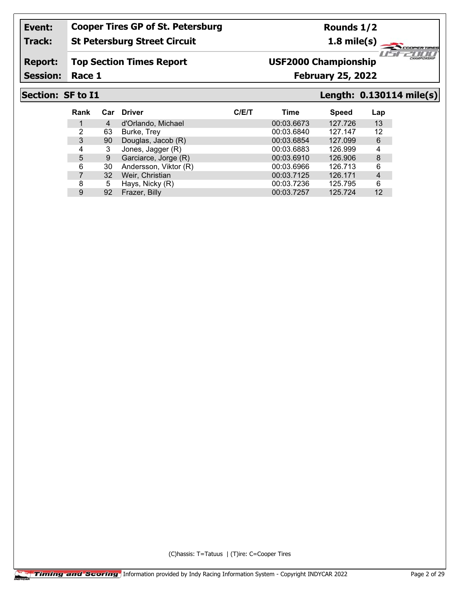### **Track: St Petersburg Street Circuit**

**Rounds 1/2**

**1.8 mile(s)**

#### **Report: Top Section Times Report**

Session: Race 1

## **USF2000 Championship**

**Race 1 February 25, 2022**

**Section: SF to I1 Length: 0.130114 mile(s)**

⊂

"ar

1151

ER TIRE 2000

| <b>Rank</b> | Car | <b>Driver</b>         | C/ET | Time       | <b>Speed</b> | Lap            |
|-------------|-----|-----------------------|------|------------|--------------|----------------|
|             | 4   | d'Orlando, Michael    |      | 00:03.6673 | 127.726      | 13             |
| 2           | 63  | Burke, Trey           |      | 00:03.6840 | 127.147      | 12             |
| 3           | 90  | Douglas, Jacob (R)    |      | 00:03.6854 | 127.099      | 6              |
| 4           | 3   | Jones, Jagger (R)     |      | 00:03.6883 | 126.999      | 4              |
| 5           | 9   | Garciarce, Jorge (R)  |      | 00:03.6910 | 126.906      | 8              |
| 6           | 30  | Andersson, Viktor (R) |      | 00:03.6966 | 126.713      | 6              |
|             | 32  | Weir, Christian       |      | 00:03.7125 | 126.171      | $\overline{4}$ |
| 8           | 5   | Hays, Nicky (R)       |      | 00:03.7236 | 125.795      | 6              |
| 9           | 92  | Frazer, Billy         |      | 00:03.7257 | 125.724      | 12             |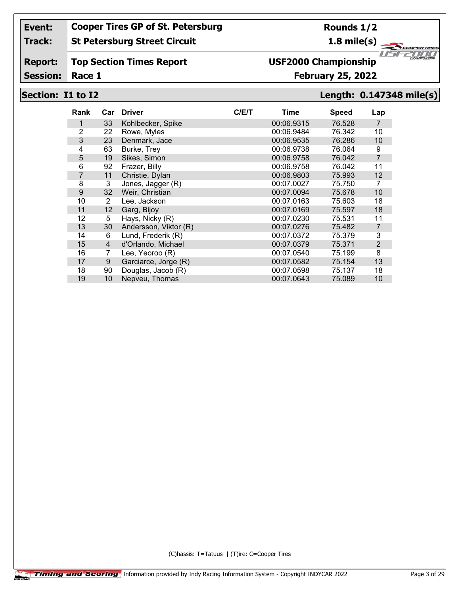#### **Track: St Petersburg Street Circuit**

**Report: Top Section Times Report**

Session: Race 1

# **USF2000 Championship**

## **Race 1 February 25, 2022**

### **Section: I1 to I2 Length: 0.147348 mile(s)**

1151

"ar

ER TIRE 2000

| <b>Rank</b> | Car            | <b>Driver</b>         | C/ET | Time       | <b>Speed</b> | Lap            |
|-------------|----------------|-----------------------|------|------------|--------------|----------------|
| 1           | 33             | Kohlbecker, Spike     |      | 00:06.9315 | 76.528       | 7              |
| 2           | 22             | Rowe, Myles           |      | 00:06.9484 | 76.342       | 10             |
| 3           | 23             | Denmark, Jace         |      | 00:06.9535 | 76.286       | 10             |
| 4           | 63             | Burke, Trey           |      | 00:06.9738 | 76.064       | 9              |
| 5           | 19             | Sikes, Simon          |      | 00:06.9758 | 76.042       | $\overline{7}$ |
| 6           | 92             | Frazer, Billy         |      | 00:06.9758 | 76.042       | 11             |
| 7           | 11             | Christie, Dylan       |      | 00:06.9803 | 75.993       | 12             |
| 8           | 3              | Jones, Jagger (R)     |      | 00:07.0027 | 75.750       |                |
| 9           | 32             | Weir, Christian       |      | 00:07.0094 | 75.678       | 10             |
| 10          | 2              | Lee, Jackson          |      | 00:07.0163 | 75.603       | 18             |
| 11          | 12             | Garg, Bijoy           |      | 00:07.0169 | 75.597       | 18             |
| 12          | 5              | Hays, Nicky (R)       |      | 00:07.0230 | 75.531       | 11             |
| 13          | 30             | Andersson, Viktor (R) |      | 00:07.0276 | 75.482       | 7              |
| 14          | 6              | Lund, Frederik (R)    |      | 00:07.0372 | 75.379       | 3              |
| 15          | $\overline{4}$ | d'Orlando, Michael    |      | 00:07.0379 | 75.371       | 2              |
| 16          | 7              | Lee, Yeoroo (R)       |      | 00:07.0540 | 75.199       | 8              |
| 17          | 9              | Garciarce, Jorge (R)  |      | 00:07.0582 | 75.154       | 13             |
| 18          | 90             | Douglas, Jacob (R)    |      | 00:07.0598 | 75.137       | 18             |
| 19          | 10             | Nepveu, Thomas        |      | 00:07.0643 | 75,089       | 10             |

(C)hassis: T=Tatuus | (T)ire: C=Cooper Tires

**Rounds 1/2**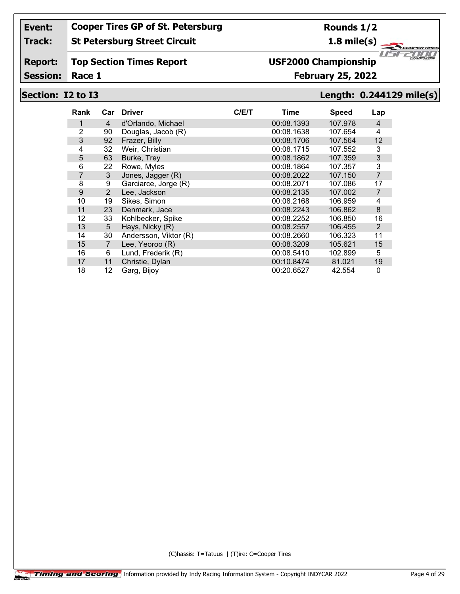#### **Track: St Petersburg Street Circuit**

#### **Report: Top Section Times Report**

Session: Race 1

# **USF2000 Championship**

## **Race 1 February 25, 2022**

### **Section: I2 to I3 Length: 0.244129 mile(s)**

1151

"ar

ER TIRE 2000

| Rank | Car            | <b>Driver</b>         | C/E/T | Time       | <b>Speed</b> | Lap            |
|------|----------------|-----------------------|-------|------------|--------------|----------------|
| 1    | 4              | d'Orlando, Michael    |       | 00:08.1393 | 107.978      | $\overline{4}$ |
| 2    | 90             | Douglas, Jacob (R)    |       | 00:08.1638 | 107.654      | 4              |
| 3    | 92             | Frazer, Billy         |       | 00:08.1706 | 107.564      | 12             |
| 4    | 32             | Weir, Christian       |       | 00:08.1715 | 107.552      | 3              |
| 5    | 63             | Burke, Trey           |       | 00:08.1862 | 107.359      | 3              |
| 6    | 22             | Rowe, Myles           |       | 00:08.1864 | 107.357      | 3              |
| 7    | 3              | Jones, Jagger (R)     |       | 00:08.2022 | 107.150      | 7              |
| 8    | 9              | Garciarce, Jorge (R)  |       | 00:08.2071 | 107.086      | 17             |
| 9    | 2              | Lee, Jackson          |       | 00:08.2135 | 107.002      | $\overline{7}$ |
| 10   | 19             | Sikes, Simon          |       | 00:08.2168 | 106.959      | 4              |
| 11   | 23             | Denmark, Jace         |       | 00:08.2243 | 106.862      | 8              |
| 12   | 33             | Kohlbecker, Spike     |       | 00:08.2252 | 106.850      | 16             |
| 13   | 5              | Hays, Nicky (R)       |       | 00:08.2557 | 106.455      | 2              |
| 14   | 30             | Andersson, Viktor (R) |       | 00:08.2660 | 106.323      | 11             |
| 15   | $\overline{7}$ | Lee, Yeoroo (R)       |       | 00:08.3209 | 105.621      | 15             |
| 16   | 6              | Lund, Frederik (R)    |       | 00:08.5410 | 102.899      | 5              |
| 17   | 11             | Christie, Dylan       |       | 00:10.8474 | 81.021       | 19             |
| 18   | 12             | Garg, Bijoy           |       | 00:20.6527 | 42.554       | 0              |

(C)hassis: T=Tatuus | (T)ire: C=Cooper Tires

**Rounds 1/2**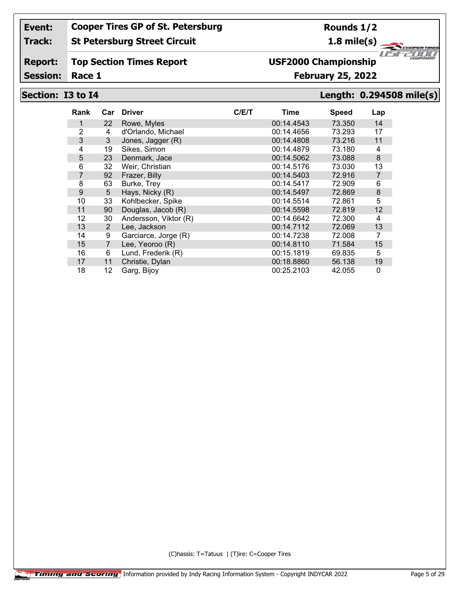#### **Track: St Petersburg Street Circuit**

#### **Report: Top Section Times Report**

Session: Race 1

# **USF2000 Championship**

## **Race 1 February 25, 2022**

### **Section: I3 to I4 Length: 0.294508 mile(s)**

1151

"ar

ER TIRE 2000

| Rank | Car            | <b>Driver</b>         | C/ET | Time       | <b>Speed</b> | Lap     |
|------|----------------|-----------------------|------|------------|--------------|---------|
| 1.   | 22             | Rowe, Myles           |      | 00:14.4543 | 73.350       | 14      |
| 2    | 4              | d'Orlando, Michael    |      | 00:14.4656 | 73.293       | 17      |
| 3    | 3              | Jones, Jagger (R)     |      | 00:14.4808 | 73.216       | 11      |
| 4    | 19             | Sikes, Simon          |      | 00:14.4879 | 73.180       | 4       |
| 5    | 23             | Denmark, Jace         |      | 00:14.5062 | 73.088       | $\bf 8$ |
| 6    | 32             | Weir, Christian       |      | 00:14.5176 | 73.030       | 13      |
| 7    | 92             | Frazer, Billy         |      | 00:14.5403 | 72.916       | 7       |
| 8    | 63             | Burke, Trey           |      | 00:14.5417 | 72.909       | 6       |
| 9    | 5              | Hays, Nicky (R)       |      | 00:14.5497 | 72.869       | $\bf 8$ |
| 10   | 33             | Kohlbecker, Spike     |      | 00:14.5514 | 72.861       | 5       |
| 11   | 90             | Douglas, Jacob (R)    |      | 00:14.5598 | 72.819       | 12      |
| 12   | 30             | Andersson, Viktor (R) |      | 00:14.6642 | 72.300       | 4       |
| 13   | 2              | Lee, Jackson          |      | 00:14.7112 | 72.069       | 13      |
| 14   | 9              | Garciarce, Jorge (R)  |      | 00:14.7238 | 72.008       | 7       |
| 15   | $\overline{7}$ | Lee, Yeoroo (R)       |      | 00:14.8110 | 71.584       | 15      |
| 16   | 6              | Lund, Frederik (R)    |      | 00:15.1819 | 69.835       | 5       |
| 17   | 11             | Christie, Dylan       |      | 00:18.8860 | 56.138       | 19      |
| 18   | 12             | Garg, Bijoy           |      | 00:25.2103 | 42.055       | 0       |

(C)hassis: T=Tatuus | (T)ire: C=Cooper Tires

**Rounds 1/2**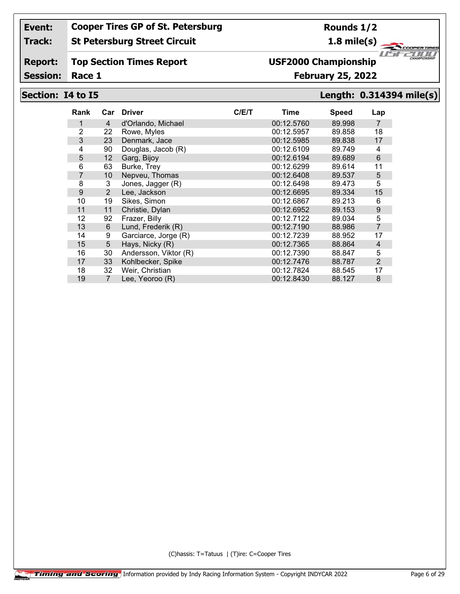#### **Track: St Petersburg Street Circuit**

#### **Report: Top Section Times Report**

Session: Race 1

# **USF2000 Championship**

### **Race 1 February 25, 2022**

## **Section: I4 to I5 Length: 0.314394 mile(s)**

⊂

"ar

1151

ER TIRE 2000

| Rank | Car            | <b>Driver</b>         | C/ET | <b>Time</b> | <b>Speed</b> | Lap            |
|------|----------------|-----------------------|------|-------------|--------------|----------------|
| 1    | 4              | d'Orlando, Michael    |      | 00:12.5760  | 89.998       | 7              |
| 2    | 22             | Rowe, Myles           |      | 00:12.5957  | 89.858       | 18             |
| 3    | 23             | Denmark, Jace         |      | 00:12.5985  | 89.838       | 17             |
| 4    | 90             | Douglas, Jacob (R)    |      | 00:12.6109  | 89.749       | 4              |
| 5    | 12             | Garg, Bijoy           |      | 00:12.6194  | 89.689       | 6              |
| 6    | 63             | Burke, Trey           |      | 00:12.6299  | 89.614       | 11             |
| 7    | 10             | Nepveu, Thomas        |      | 00:12.6408  | 89.537       | 5              |
| 8    | 3              | Jones, Jagger (R)     |      | 00:12.6498  | 89.473       | 5              |
| 9    | 2              | Lee, Jackson          |      | 00:12.6695  | 89.334       | 15             |
| 10   | 19             | Sikes, Simon          |      | 00:12.6867  | 89.213       | 6              |
| 11   | 11             | Christie, Dylan       |      | 00:12.6952  | 89.153       | 9              |
| 12   | 92             | Frazer, Billy         |      | 00:12.7122  | 89.034       | 5              |
| 13   | 6              | Lund, Frederik (R)    |      | 00:12.7190  | 88,986       | $\overline{7}$ |
| 14   | 9              | Garciarce, Jorge (R)  |      | 00:12.7239  | 88.952       | 17             |
| 15   | 5              | Hays, Nicky (R)       |      | 00:12.7365  | 88.864       | 4              |
| 16   | 30             | Andersson, Viktor (R) |      | 00:12.7390  | 88.847       | 5              |
| 17   | 33             | Kohlbecker, Spike     |      | 00:12.7476  | 88.787       | 2              |
| 18   | 32             | Weir, Christian       |      | 00:12.7824  | 88.545       | 17             |
| 19   | $\overline{7}$ | Lee, Yeoroo (R)       |      | 00:12.8430  | 88.127       | 8              |

(C)hassis: T=Tatuus | (T)ire: C=Cooper Tires

**Rounds 1/2**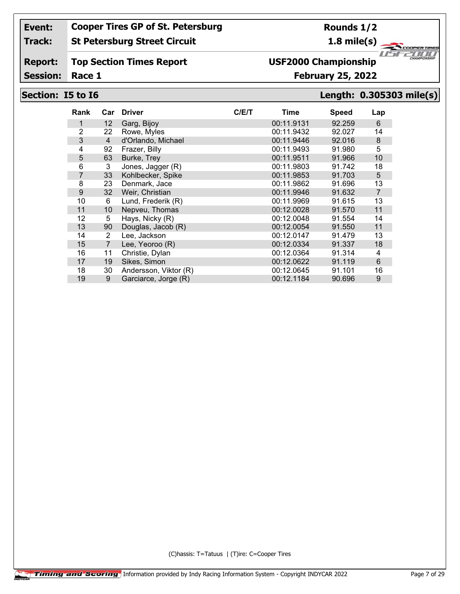#### **Track: St Petersburg Street Circuit**

**Rounds 1/2**

**1.8 mile(s)**

#### **Report: Top Section Times Report**

Session: Race 1

## **Race 1 February 25, 2022 USF2000 Championship**

## **Section: I5 to I6 Length: 0.305303 mile(s)**

1151

"ar

ER TIRE 2000

| Rank | Car               | <b>Driver</b>         | C/E/T | Time       | <b>Speed</b> | Lap            |
|------|-------------------|-----------------------|-------|------------|--------------|----------------|
| 1    | $12 \overline{ }$ | Garg, Bijoy           |       | 00:11.9131 | 92.259       | 6              |
| 2    | 22                | Rowe, Myles           |       | 00:11.9432 | 92.027       | 14             |
| 3    | $\overline{4}$    | d'Orlando, Michael    |       | 00:11.9446 | 92.016       | $\bf 8$        |
| 4    | 92                | Frazer, Billy         |       | 00:11.9493 | 91.980       | 5              |
| 5    | 63                | Burke, Trey           |       | 00:11.9511 | 91.966       | 10             |
| 6    | 3                 | Jones, Jagger (R)     |       | 00:11.9803 | 91.742       | 18             |
| 7    | 33                | Kohlbecker, Spike     |       | 00:11.9853 | 91.703       | 5              |
| 8    | 23                | Denmark, Jace         |       | 00:11.9862 | 91.696       | 13             |
| 9    | 32                | Weir, Christian       |       | 00:11.9946 | 91.632       | $\overline{7}$ |
| 10   | 6                 | Lund, Frederik (R)    |       | 00:11.9969 | 91.615       | 13             |
| 11   | 10                | Nepveu, Thomas        |       | 00:12.0028 | 91.570       | 11             |
| 12   | 5                 | Hays, Nicky (R)       |       | 00:12.0048 | 91.554       | 14             |
| 13   | 90                | Douglas, Jacob (R)    |       | 00:12.0054 | 91.550       | 11             |
| 14   | 2                 | Lee, Jackson          |       | 00:12.0147 | 91.479       | 13             |
| 15   | 7                 | Lee, Yeoroo (R)       |       | 00:12.0334 | 91.337       | 18             |
| 16   | 11                | Christie, Dylan       |       | 00:12.0364 | 91.314       | 4              |
| 17   | 19                | Sikes, Simon          |       | 00:12.0622 | 91.119       | 6              |
| 18   | 30                | Andersson, Viktor (R) |       | 00:12.0645 | 91.101       | 16             |
| 19   | 9                 | Garciarce, Jorge (R)  |       | 00:12.1184 | 90.696       | 9              |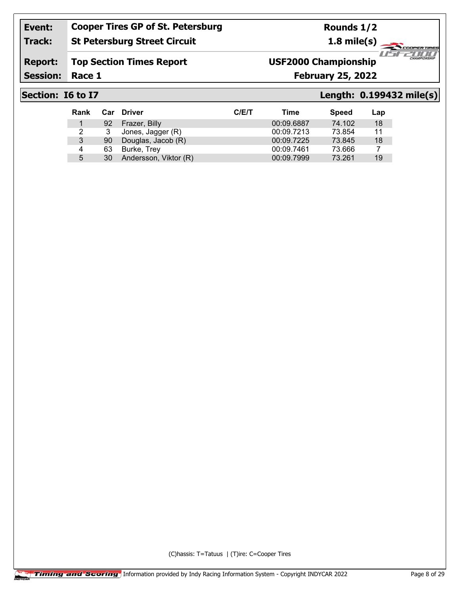**St Petersburg Street Circuit**

## **Rounds 1/2**

**1.8 mile(s)**

#### **Report: Top Section Times Report**

Session: Race 1

**Track:**

## **USF2000 Championship**

**Race 1 February 25, 2022**

### **Section: I6 to I7 Length: 0.199432 mile(s)**

⊂

"ar

1151

ER TIRE 2000

| <b>Rank</b> | Car | <b>Driver</b>         | C/ET | Time       | <b>Speed</b> | Lap |
|-------------|-----|-----------------------|------|------------|--------------|-----|
|             | 92  | Frazer, Billy         |      | 00:09.6887 | 74.102       | 18  |
| 2           | 3   | Jones, Jagger (R)     |      | 00:09.7213 | 73.854       | 11  |
| 3           | 90  | Douglas, Jacob (R)    |      | 00:09.7225 | 73.845       | 18  |
| 4           | 63  | Burke, Trey           |      | 00:09.7461 | 73.666       |     |
| 5           | 30  | Andersson, Viktor (R) |      | 00:09.7999 | 73.261       | 19  |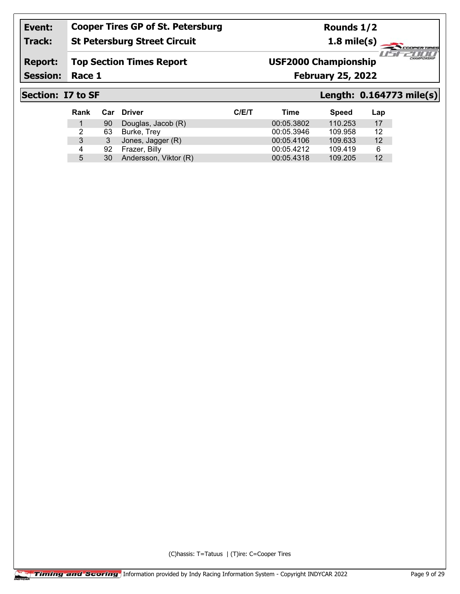### **Track: St Petersburg Street Circuit**

**Rounds 1/2**

**1.8 mile(s)**

#### **Report: Top Section Times Report**

Session: Race 1

## **USF2000 Championship**

**Race 1 February 25, 2022**

### **Section: I7 to SF Length: 0.164773 mile(s)**

1151

"ar

ER TIRE 2000

| <b>Rank</b> | Car | <b>Driver</b>         | C/ET | Time       | <b>Speed</b> | Lap |
|-------------|-----|-----------------------|------|------------|--------------|-----|
|             | 90  | Douglas, Jacob (R)    |      | 00:05.3802 | 110.253      | 17  |
| 2           | 63  | Burke, Trey           |      | 00:05.3946 | 109.958      | 12  |
| 3           |     | Jones, Jagger (R)     |      | 00:05.4106 | 109.633      | 12  |
| 4           | 92  | Frazer, Billy         |      | 00:05.4212 | 109.419      | 6   |
| 5           | 30  | Andersson, Viktor (R) |      | 00:05.4318 | 109.205      | 12  |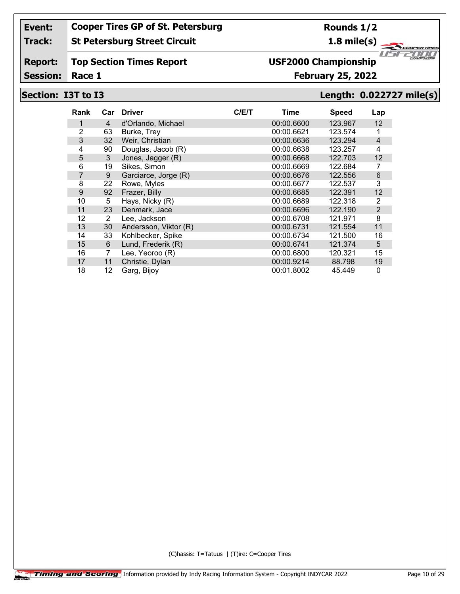#### **Track: St Petersburg Street Circuit**

**Rounds 1/2**

**1.8 mile(s)**

**ERTIRE** 2000

1151

"ar

#### **Report: Top Section Times Report**

Session: Race 1

## **Race 1 February 25, 2022 USF2000 Championship**

# **Section: I3T to I3 Length: 0.022727 mile(s)**

| Rank |              | Car Driver            | C/E/T | Time       | <b>Speed</b> | Lap            |
|------|--------------|-----------------------|-------|------------|--------------|----------------|
|      | 4            | d'Orlando, Michael    |       | 00:00.6600 | 123.967      | 12             |
| 2    | 63           | Burke, Trey           |       | 00:00.6621 | 123.574      | 1              |
| 3    | 32           | Weir, Christian       |       | 00:00.6636 | 123.294      | $\overline{4}$ |
| 4    | 90           | Douglas, Jacob (R)    |       | 00:00.6638 | 123.257      | 4              |
| 5    | $\mathbf{3}$ | Jones, Jagger (R)     |       | 00:00.6668 | 122.703      | 12             |
| 6    | 19           | Sikes, Simon          |       | 00:00.6669 | 122.684      | 7              |
| 7    | 9            | Garciarce, Jorge (R)  |       | 00:00.6676 | 122.556      | $\,6$          |
| 8    | 22           | Rowe, Myles           |       | 00:00.6677 | 122.537      | 3              |
| 9    | 92           | Frazer, Billy         |       | 00:00.6685 | 122.391      | 12             |
| 10   | 5            | Hays, Nicky (R)       |       | 00:00.6689 | 122.318      | $\overline{2}$ |
| 11   | 23           | Denmark, Jace         |       | 00:00.6696 | 122.190      | $\overline{2}$ |
| 12   | 2            | Lee, Jackson          |       | 00:00.6708 | 121.971      | 8              |
| 13   | 30           | Andersson, Viktor (R) |       | 00:00.6731 | 121.554      | 11             |
| 14   | 33           | Kohlbecker, Spike     |       | 00:00.6734 | 121.500      | 16             |
| 15   | 6            | Lund, Frederik (R)    |       | 00:00.6741 | 121.374      | $\overline{5}$ |
| 16   | 7            | Lee, Yeoroo (R)       |       | 00:00.6800 | 120.321      | 15             |
| 17   | 11           | Christie, Dylan       |       | 00:00.9214 | 88.798       | 19             |
| 18   | 12           | Garg, Bijoy           |       | 00:01.8002 | 45.449       | 0              |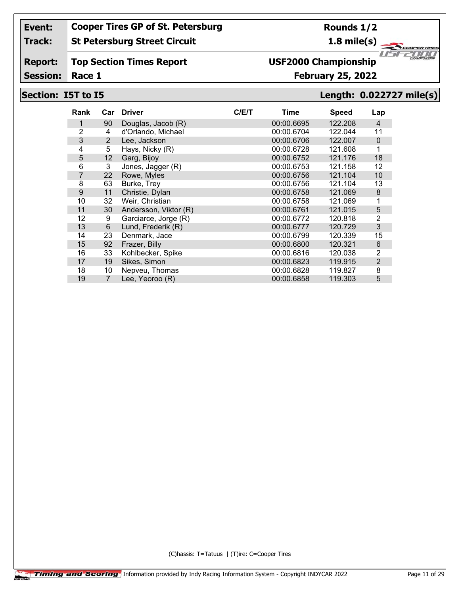#### **Track: St Petersburg Street Circuit**

#### **Report: Top Section Times Report**

Session: Race 1

# **USF2000 Championship**

## **Race 1 February 25, 2022**

### **Section: I5T to I5 Length: 0.022727 mile(s)**

 $\mathbb{Z}$ "ar

**ERTIRE** 2000

| Rank           | Car            | <b>Driver</b>         | C/ET | Time       | <b>Speed</b> | Lap            |
|----------------|----------------|-----------------------|------|------------|--------------|----------------|
|                | 90             | Douglas, Jacob (R)    |      | 00:00.6695 | 122.208      | $\overline{4}$ |
| $\overline{2}$ | 4              | d'Orlando, Michael    |      | 00:00.6704 | 122.044      | 11             |
| 3              | 2              | Lee, Jackson          |      | 00:00.6706 | 122.007      | $\Omega$       |
| 4              | 5              | Hays, Nicky (R)       |      | 00:00.6728 | 121.608      | 1              |
| 5              | 12             | Garg, Bijoy           |      | 00:00.6752 | 121.176      | 18             |
| 6              | 3              | Jones, Jagger (R)     |      | 00:00.6753 | 121.158      | 12             |
| $\overline{7}$ | 22             | Rowe, Myles           |      | 00:00.6756 | 121.104      | 10             |
| 8              | 63             | Burke, Trey           |      | 00:00.6756 | 121.104      | 13             |
| 9              | 11             | Christie, Dylan       |      | 00:00.6758 | 121.069      | 8              |
| 10             | 32             | Weir, Christian       |      | 00:00.6758 | 121.069      | 1              |
| 11             | 30             | Andersson, Viktor (R) |      | 00:00.6761 | 121.015      | 5              |
| 12             | 9              | Garciarce, Jorge (R)  |      | 00:00.6772 | 120.818      | 2              |
| 13             | 6              | Lund, Frederik (R)    |      | 00:00.6777 | 120.729      | 3              |
| 14             | 23             | Denmark, Jace         |      | 00:00.6799 | 120.339      | 15             |
| 15             | 92             | Frazer, Billy         |      | 00:00.6800 | 120.321      | 6              |
| 16             | 33             | Kohlbecker, Spike     |      | 00:00.6816 | 120.038      | 2              |
| 17             | 19             | Sikes, Simon          |      | 00:00.6823 | 119.915      | 2              |
| 18             | 10             | Nepveu, Thomas        |      | 00:00.6828 | 119.827      | 8              |
| 19             | $\overline{7}$ | Lee, Yeoroo (R)       |      | 00:00.6858 | 119.303      | 5              |

(C)hassis: T=Tatuus | (T)ire: C=Cooper Tires

**Rounds 1/2**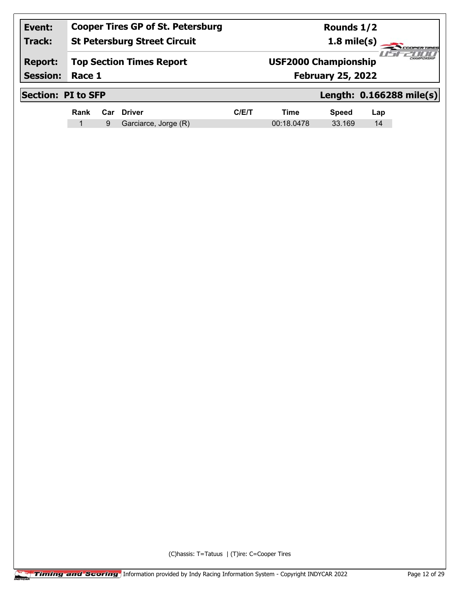| Event:<br><b>Track:</b>           |                           | <b>Cooper Tires GP of St. Petersburg</b><br><b>St Petersburg Street Circuit</b> |                                 |                                                                         |            | Rounds 1/2<br>$1.8$ mile(s) | <b>COOPERTIRES</b> |                          |
|-----------------------------------|---------------------------|---------------------------------------------------------------------------------|---------------------------------|-------------------------------------------------------------------------|------------|-----------------------------|--------------------|--------------------------|
| <b>Report:</b><br><b>Session:</b> | Race 1                    |                                                                                 | <b>Top Section Times Report</b> | CHAMPIONSHIP<br><b>USF2000 Championship</b><br><b>February 25, 2022</b> |            |                             |                    |                          |
|                                   | <b>Section: PI to SFP</b> |                                                                                 |                                 |                                                                         |            |                             |                    | Length: 0.166288 mile(s) |
|                                   | Rank                      | Car                                                                             | <b>Driver</b>                   | C/ET                                                                    | Time       | <b>Speed</b>                | Lap                |                          |
|                                   | 1                         | 9                                                                               | Garciarce, Jorge (R)            |                                                                         | 00:18.0478 | 33.169                      | 14                 |                          |
|                                   |                           |                                                                                 |                                 |                                                                         |            |                             |                    |                          |
|                                   |                           |                                                                                 |                                 |                                                                         |            |                             |                    |                          |
|                                   |                           |                                                                                 |                                 |                                                                         |            |                             |                    |                          |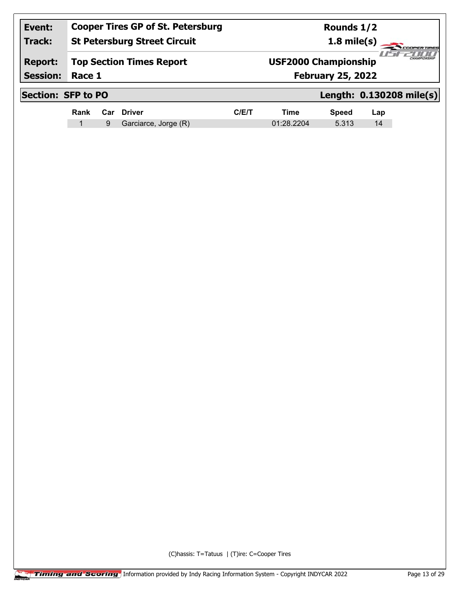| Event:                    |        |                                     | <b>Cooper Tires GP of St. Petersburg</b> |      |                              | Rounds 1/2   |     |                          |  |
|---------------------------|--------|-------------------------------------|------------------------------------------|------|------------------------------|--------------|-----|--------------------------|--|
| <b>Track:</b>             |        | <b>St Petersburg Street Circuit</b> |                                          |      | $1.8$ mile(s)<br>COOPERTIRES |              |     |                          |  |
| <b>Report:</b>            |        |                                     | <b>Top Section Times Report</b>          |      | <b>USF2000 Championship</b>  |              |     |                          |  |
| <b>Session:</b>           | Race 1 |                                     |                                          |      | <b>February 25, 2022</b>     |              |     |                          |  |
| <b>Section: SFP to PO</b> |        |                                     |                                          |      |                              |              |     | Length: 0.130208 mile(s) |  |
|                           | Rank   |                                     | Car Driver                               | C/ET | <b>Time</b>                  | <b>Speed</b> | Lap |                          |  |
|                           |        | 9                                   | Garciarce, Jorge (R)                     |      | 01:28.2204                   | 5.313        | 14  |                          |  |
|                           |        |                                     |                                          |      |                              |              |     |                          |  |
|                           |        |                                     |                                          |      |                              |              |     |                          |  |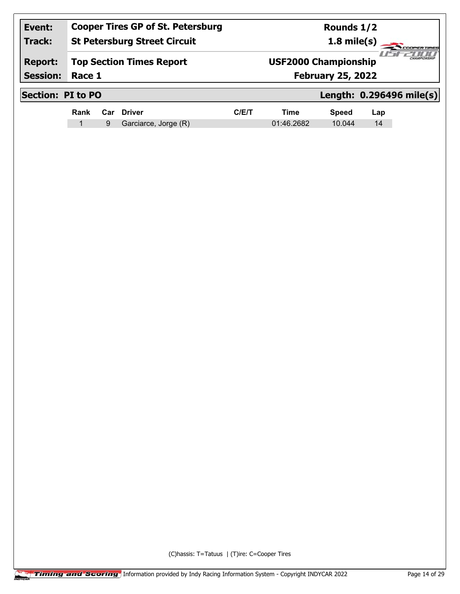| Event:<br><b>Track:</b>           | <b>Cooper Tires GP of St. Petersburg</b><br><b>St Petersburg Street Circuit</b> |   |                                 |      |                                                         | Rounds 1/2<br>$1.8$ mile(s) |     | <b>DOPERTIRES</b>        |  |
|-----------------------------------|---------------------------------------------------------------------------------|---|---------------------------------|------|---------------------------------------------------------|-----------------------------|-----|--------------------------|--|
| <b>Report:</b><br><b>Session:</b> | Race 1                                                                          |   | <b>Top Section Times Report</b> |      | <b>USF2000 Championship</b><br><b>February 25, 2022</b> |                             |     |                          |  |
| <b>Section: PI to PO</b>          |                                                                                 |   |                                 |      |                                                         |                             |     | Length: 0.296496 mile(s) |  |
|                                   | Rank                                                                            |   | Car Driver                      | C/ET | Time                                                    | <b>Speed</b>                | Lap |                          |  |
|                                   | $\mathbf 1$                                                                     | 9 | Garciarce, Jorge (R)            |      | 01:46.2682                                              | 10.044                      | 14  |                          |  |
|                                   |                                                                                 |   |                                 |      |                                                         |                             |     |                          |  |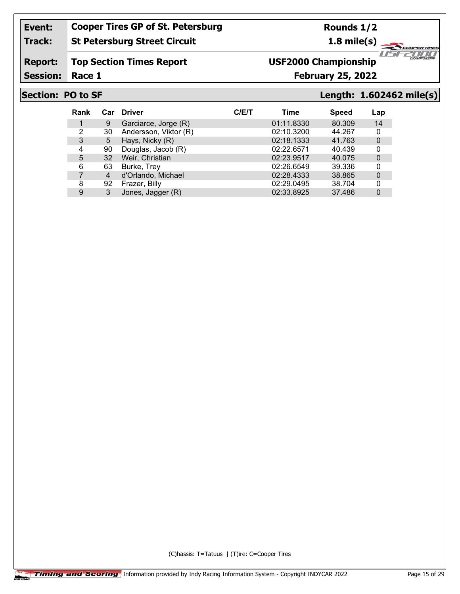#### **Track: St Petersburg Street Circuit**

**Rounds 1/2**

**1.8 mile(s)**

#### **Report: Top Section Times Report**

Session: Race 1

## **Race 1 February 25, 2022 USF2000 Championship**

### **Section: PO to SF Length: 1.602462 mile(s)**

*1151* 

"ar

**ERTIRE** 2000

| Rank | Car | <b>Driver</b>         | C/ET | Time       | <b>Speed</b> | Lap         |
|------|-----|-----------------------|------|------------|--------------|-------------|
|      | 9   | Garciarce, Jorge (R)  |      | 01:11.8330 | 80.309       | 14          |
| 2    | 30  | Andersson, Viktor (R) |      | 02:10.3200 | 44.267       | 0           |
| 3    | 5   | Hays, Nicky (R)       |      | 02:18.1333 | 41.763       | $\Omega$    |
| 4    | 90  | Douglas, Jacob (R)    |      | 02:22.6571 | 40.439       | 0           |
| 5    | 32  | Weir, Christian       |      | 02:23.9517 | 40.075       | $\Omega$    |
| 6    | 63  | Burke, Trey           |      | 02:26.6549 | 39.336       | 0           |
|      | 4   | d'Orlando, Michael    |      | 02:28.4333 | 38.865       | $\mathbf 0$ |
| 8    | 92  | Frazer, Billy         |      | 02:29.0495 | 38.704       | 0           |
| 9    | 3   | Jones, Jagger (R)     |      | 02:33.8925 | 37.486       | $\Omega$    |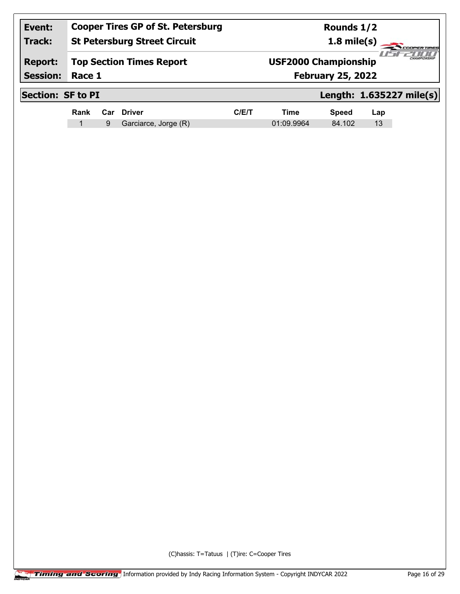| Event:<br><b>Track:</b>           | <b>Cooper Tires GP of St. Petersburg</b><br><b>St Petersburg Street Circuit</b><br><b>Top Section Times Report</b><br>Race 1 |   |                      |      |                                                         | Rounds 1/2<br>$1.8$ mile(s) |     | <b>DOPERTIRES</b>        |
|-----------------------------------|------------------------------------------------------------------------------------------------------------------------------|---|----------------------|------|---------------------------------------------------------|-----------------------------|-----|--------------------------|
| <b>Report:</b><br><b>Session:</b> |                                                                                                                              |   |                      |      | <b>USF2000 Championship</b><br><b>February 25, 2022</b> |                             |     |                          |
|                                   | <b>Section: SF to PI</b>                                                                                                     |   |                      |      |                                                         |                             |     | Length: 1.635227 mile(s) |
|                                   | Rank                                                                                                                         |   | Car Driver           | C/ET | Time                                                    | <b>Speed</b>                | Lap |                          |
|                                   | 1                                                                                                                            | 9 | Garciarce, Jorge (R) |      | 01:09.9964                                              | 84.102                      | 13  |                          |
|                                   |                                                                                                                              |   |                      |      |                                                         |                             |     |                          |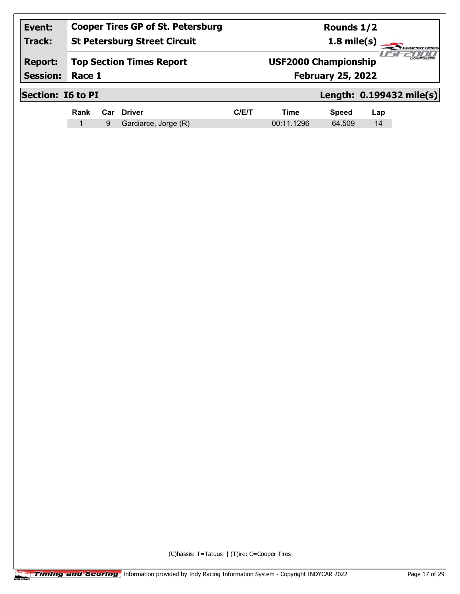| Event:                   |        |   | <b>Cooper Tires GP of St. Petersburg</b> |      | Rounds 1/2                          |              |     |                          |  |
|--------------------------|--------|---|------------------------------------------|------|-------------------------------------|--------------|-----|--------------------------|--|
| <b>Track:</b>            |        |   | <b>St Petersburg Street Circuit</b>      |      | $1.8$ mile(s)<br><b>COOPERTIRES</b> |              |     |                          |  |
| <b>Report:</b>           |        |   | <b>Top Section Times Report</b>          |      | <b>USF2000 Championship</b>         |              |     |                          |  |
| <b>Session:</b>          | Race 1 |   |                                          |      | <b>February 25, 2022</b>            |              |     |                          |  |
| <b>Section: 16 to PI</b> |        |   |                                          |      |                                     |              |     | Length: 0.199432 mile(s) |  |
|                          | Rank   |   | Car Driver                               | C/ET | Time                                | <b>Speed</b> | Lap |                          |  |
|                          | -1     | 9 | Garciarce, Jorge (R)                     |      | 00:11.1296                          | 64.509       | 14  |                          |  |
|                          |        |   |                                          |      |                                     |              |     |                          |  |
|                          |        |   |                                          |      |                                     |              |     |                          |  |
|                          |        |   |                                          |      |                                     |              |     |                          |  |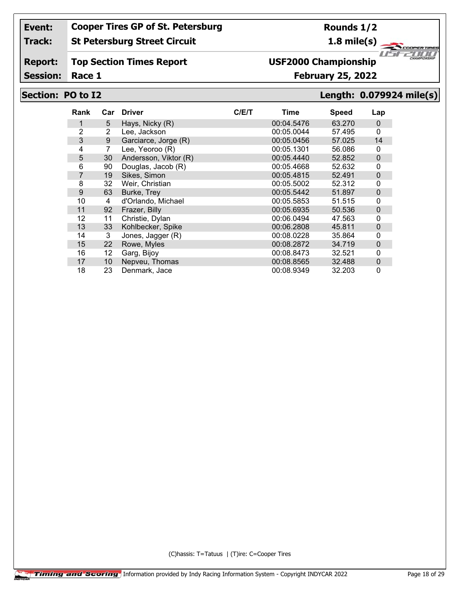#### **Track: St Petersburg Street Circuit**

#### **Report: Top Section Times Report**

Session: Race 1

# **USF2000 Championship**

### **Race 1 February 25, 2022**

**Rounds 1/2 1.8 mile(s)**

## **Section: PO to I2 Length: 0.079924 mile(s)**

*1151* 

"ar

**ERTIRE** 2000

| Rank | Car | <b>Driver</b>         | C/E/T | Time       | <b>Speed</b> | Lap      |
|------|-----|-----------------------|-------|------------|--------------|----------|
| 1    | 5   | Hays, Nicky (R)       |       | 00:04.5476 | 63.270       | 0        |
| 2    | 2   | Lee, Jackson          |       | 00:05.0044 | 57.495       | 0        |
| 3    | 9   | Garciarce, Jorge (R)  |       | 00:05.0456 | 57.025       | 14       |
| 4    | 7   | Lee, Yeoroo (R)       |       | 00:05.1301 | 56.086       | 0        |
| 5    | 30  | Andersson, Viktor (R) |       | 00:05.4440 | 52.852       | 0        |
| 6    | 90  | Douglas, Jacob (R)    |       | 00:05.4668 | 52.632       | 0        |
| 7    | 19  | Sikes, Simon          |       | 00:05.4815 | 52.491       | 0        |
| 8    | 32  | Weir, Christian       |       | 00:05.5002 | 52.312       | 0        |
| 9    | 63  | Burke, Trey           |       | 00:05.5442 | 51.897       | $\Omega$ |
| 10   | 4   | d'Orlando, Michael    |       | 00:05.5853 | 51.515       | 0        |
| 11   | 92  | Frazer, Billy         |       | 00:05.6935 | 50.536       | 0        |
| 12   | 11  | Christie, Dylan       |       | 00:06.0494 | 47.563       | 0        |
| 13   | 33  | Kohlbecker, Spike     |       | 00:06.2808 | 45.811       | $\Omega$ |
| 14   | 3   | Jones, Jagger (R)     |       | 00:08.0228 | 35.864       | 0        |
| 15   | 22  | Rowe, Myles           |       | 00:08.2872 | 34.719       | 0        |
| 16   | 12  | Garg, Bijoy           |       | 00:08.8473 | 32.521       | 0        |
| 17   | 10  | Nepveu, Thomas        |       | 00:08.8565 | 32.488       | 0        |
| 18   | 23  | Denmark, Jace         |       | 00:08.9349 | 32.203       | 0        |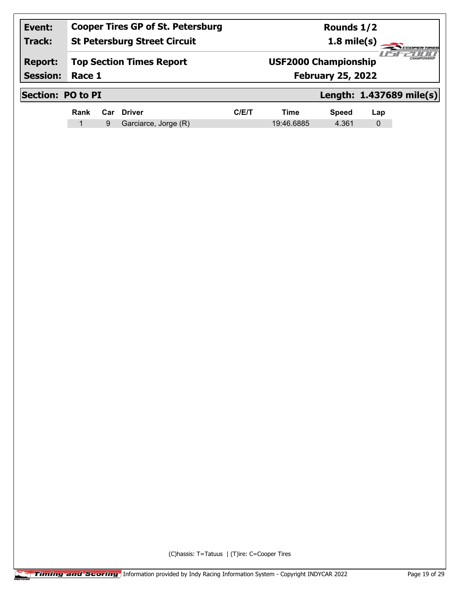| Event:<br><b>Track:</b>           | <b>Cooper Tires GP of St. Petersburg</b><br><b>St Petersburg Street Circuit</b> |     |                      |      | Rounds 1/2<br>$1.8$ mile(s)<br><b>COOPERTIRES</b>       |              |     |                          |
|-----------------------------------|---------------------------------------------------------------------------------|-----|----------------------|------|---------------------------------------------------------|--------------|-----|--------------------------|
| <b>Report:</b><br><b>Session:</b> | <b>Top Section Times Report</b><br>Race 1                                       |     |                      |      | <b>USF2000 Championship</b><br><b>February 25, 2022</b> |              |     | CHAMPIONSHIP             |
|                                   | <b>Section: PO to PI</b>                                                        |     |                      |      |                                                         |              |     | Length: 1.437689 mile(s) |
|                                   | Rank                                                                            | Car | <b>Driver</b>        | C/ET | <b>Time</b>                                             | <b>Speed</b> | Lap |                          |
|                                   | 1                                                                               | 9   | Garciarce, Jorge (R) |      | 19:46.6885                                              | 4.361        | 0   |                          |
|                                   |                                                                                 |     |                      |      |                                                         |              |     |                          |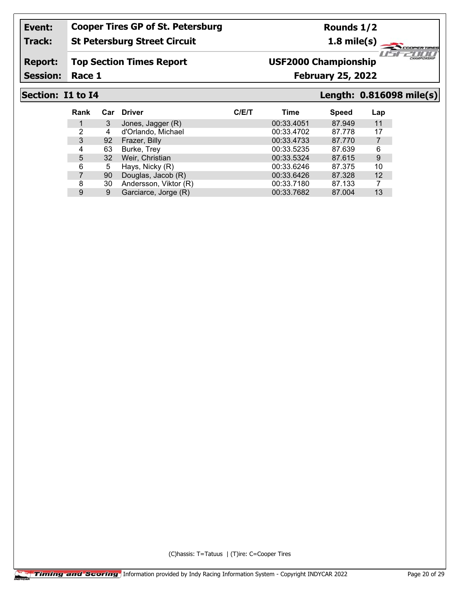#### **Track: St Petersburg Street Circuit**

**Report: Top Section Times Report**

Session: Race 1

# **USF2000 Championship**

**Race 1 February 25, 2022**

**Rounds 1/2 1.8 mile(s)**

**Section: I1 to I4 Length: 0.816098 mile(s)**

 $\mathbb{Z}$ "ar

ER TIRE 2000

| <b>Rank</b> | Car | <b>Driver</b>         | C/ET | Time       | <b>Speed</b> | Lap |
|-------------|-----|-----------------------|------|------------|--------------|-----|
|             | 3   | Jones, Jagger (R)     |      | 00:33.4051 | 87.949       | 11  |
| 2           | 4   | d'Orlando, Michael    |      | 00:33.4702 | 87.778       | 17  |
| 3           | 92  | Frazer, Billy         |      | 00:33.4733 | 87.770       |     |
| 4           | 63  | Burke, Trey           |      | 00:33.5235 | 87.639       | 6   |
| 5           | 32  | Weir, Christian       |      | 00:33.5324 | 87.615       | 9   |
| 6           | 5   | Hays, Nicky (R)       |      | 00:33.6246 | 87.375       | 10  |
|             | 90  | Douglas, Jacob (R)    |      | 00:33.6426 | 87.328       | 12  |
| 8           | 30  | Andersson, Viktor (R) |      | 00:33.7180 | 87.133       |     |
| 9           | 9   | Garciarce, Jorge (R)  |      | 00:33.7682 | 87.004       | 13  |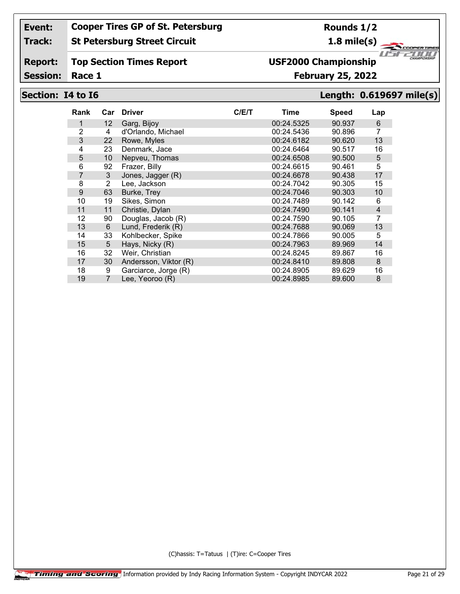#### **Track: St Petersburg Street Circuit**

#### **Report: Top Section Times Report**

Session: Race 1

# **USF2000 Championship**

### **Race 1 February 25, 2022**

## **Section: I4 to I6 Length: 0.619697 mile(s)**

| Rank | Car            | <b>Driver</b>         | C/E/T | Time       | <b>Speed</b> | Lap |
|------|----------------|-----------------------|-------|------------|--------------|-----|
| 1    | 12             | Garg, Bijoy           |       | 00:24.5325 | 90.937       | 6   |
| 2    | 4              | d'Orlando, Michael    |       | 00:24.5436 | 90.896       | 7   |
| 3    | 22             | Rowe, Myles           |       | 00:24.6182 | 90.620       | 13  |
| 4    | 23             | Denmark, Jace         |       | 00:24.6464 | 90.517       | 16  |
| 5    | 10             | Nepveu, Thomas        |       | 00:24.6508 | 90.500       | 5   |
| 6    | 92             | Frazer, Billy         |       | 00:24.6615 | 90.461       | 5   |
| 7    | 3              | Jones, Jagger (R)     |       | 00:24.6678 | 90.438       | 17  |
| 8    | 2              | Lee, Jackson          |       | 00:24.7042 | 90.305       | 15  |
| 9    | 63             | Burke, Trey           |       | 00:24.7046 | 90.303       | 10  |
| 10   | 19             | Sikes, Simon          |       | 00:24.7489 | 90.142       | 6   |
| 11   | 11             | Christie, Dylan       |       | 00:24.7490 | 90.141       | 4   |
| 12   | 90             | Douglas, Jacob (R)    |       | 00:24.7590 | 90.105       | 7   |
| 13   | 6              | Lund, Frederik (R)    |       | 00:24.7688 | 90.069       | 13  |
| 14   | 33             | Kohlbecker, Spike     |       | 00:24.7866 | 90.005       | 5   |
| 15   | 5              | Hays, Nicky (R)       |       | 00:24.7963 | 89.969       | 14  |
| 16   | 32             | Weir, Christian       |       | 00:24.8245 | 89.867       | 16  |
| 17   | 30             | Andersson, Viktor (R) |       | 00:24.8410 | 89,808       | 8   |
| 18   | 9              | Garciarce, Jorge (R)  |       | 00:24.8905 | 89.629       | 16  |
| 19   | $\overline{7}$ | Lee, Yeoroo (R)       |       | 00:24.8985 | 89.600       | 8   |

(C)hassis: T=Tatuus | (T)ire: C=Cooper Tires

**ERTIRE** *1151* 

"ar

2000

### **Rounds 1/2**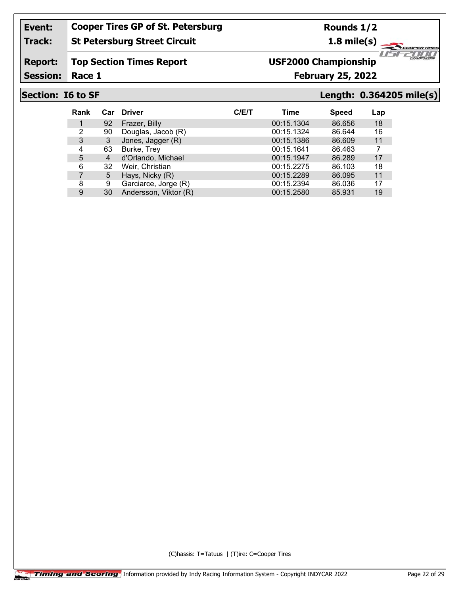### **Track: St Petersburg Street Circuit**

**Rounds 1/2**

**1.8 mile(s)**

#### **Report: Top Section Times Report**

Session: Race 1

## **Race 1 February 25, 2022 USF2000 Championship**

**Section: I6 to SF Length: 0.364205 mile(s)**

⊂

"ar

*1151* 

**ERTIRE** 2000

| <b>Rank</b> | Car | <b>Driver</b>         | C/E/T | Time       | <b>Speed</b> | Lap |
|-------------|-----|-----------------------|-------|------------|--------------|-----|
|             | 92  | Frazer, Billy         |       | 00:15.1304 | 86.656       | 18  |
| 2           | 90  | Douglas, Jacob (R)    |       | 00:15.1324 | 86.644       | 16  |
| 3           | 3   | Jones, Jagger (R)     |       | 00:15.1386 | 86.609       | 11  |
| 4           | 63  | Burke, Trey           |       | 00:15.1641 | 86.463       | 7   |
| 5           | 4   | d'Orlando, Michael    |       | 00:15.1947 | 86.289       | 17  |
| 6           | 32  | Weir, Christian       |       | 00:15.2275 | 86.103       | 18  |
|             | 5   | Hays, Nicky (R)       |       | 00:15.2289 | 86.095       | 11  |
| 8           | 9   | Garciarce, Jorge (R)  |       | 00:15.2394 | 86.036       | 17  |
| 9           | 30  | Andersson, Viktor (R) |       | 00:15.2580 | 85.931       | 19  |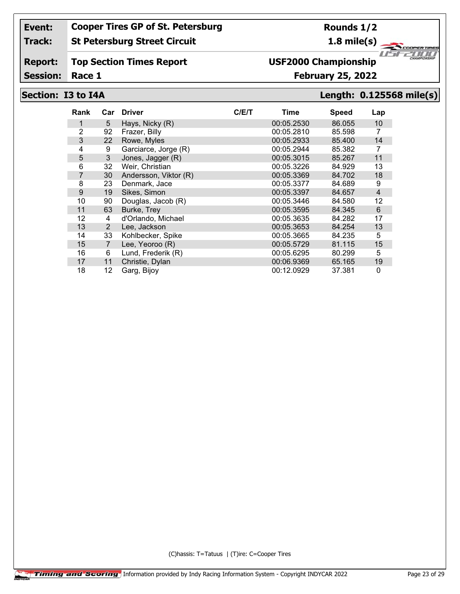#### **Track: St Petersburg Street Circuit**

#### **Report: Top Section Times Report**

Session: Race 1

# **USF2000 Championship**

### **Race 1 February 25, 2022**

**Rounds 1/2**

### **Section: I3 to I4A Length: 0.125568 mile(s)**

| Rank           | Car            | <b>Driver</b>         | C/ET | Time       | <b>Speed</b> | Lap            |
|----------------|----------------|-----------------------|------|------------|--------------|----------------|
| 1              | 5              | Hays, Nicky (R)       |      | 00:05.2530 | 86.055       | 10             |
| $\overline{2}$ | 92             | Frazer, Billy         |      | 00:05.2810 | 85.598       | 7              |
| 3              | 22             | Rowe, Myles           |      | 00:05.2933 | 85.400       | 14             |
| 4              | 9              | Garciarce, Jorge (R)  |      | 00:05.2944 | 85.382       | 7              |
| 5              | 3              | Jones, Jagger (R)     |      | 00:05.3015 | 85.267       | 11             |
| 6              | 32             | Weir, Christian       |      | 00:05.3226 | 84.929       | 13             |
| 7              | 30             | Andersson, Viktor (R) |      | 00:05.3369 | 84.702       | 18             |
| 8              | 23             | Denmark, Jace         |      | 00:05.3377 | 84.689       | 9              |
| 9              | 19             | Sikes, Simon          |      | 00:05.3397 | 84.657       | $\overline{4}$ |
| 10             | 90             | Douglas, Jacob (R)    |      | 00:05.3446 | 84.580       | 12             |
| 11             | 63             | Burke, Trey           |      | 00:05.3595 | 84.345       | 6              |
| 12             | 4              | d'Orlando, Michael    |      | 00:05.3635 | 84.282       | 17             |
| 13             | $\overline{2}$ | Lee, Jackson          |      | 00:05.3653 | 84.254       | 13             |
| 14             | 33             | Kohlbecker, Spike     |      | 00:05.3665 | 84.235       | 5              |
| 15             | $\overline{7}$ | Lee, Yeoroo (R)       |      | 00:05.5729 | 81.115       | 15             |
| 16             | 6              | Lund, Frederik (R)    |      | 00:05.6295 | 80.299       | 5              |
| 17             | 11             | Christie, Dylan       |      | 00:06.9369 | 65.165       | 19             |
| 18             | 12             | Garg, Bijoy           |      | 00:12.0929 | 37.381       | $\mathbf 0$    |

(C)hassis: T=Tatuus | (T)ire: C=Cooper Tires

**1.8 mile(s) ERTIRE** *1151* 

2000

"ar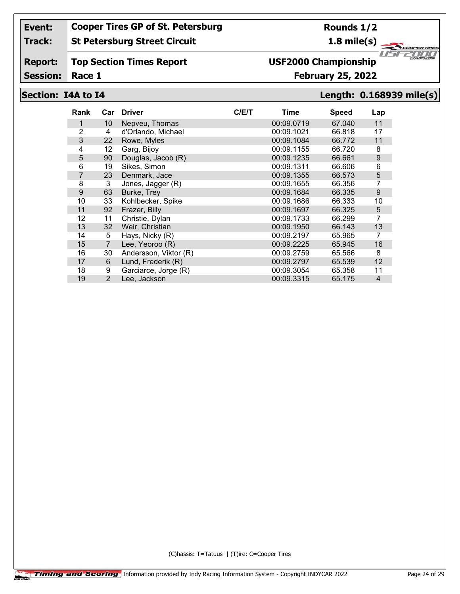#### **Track: St Petersburg Street Circuit**

#### **Report: Top Section Times Report**

Session: Race 1

## **Race 1 February 25, 2022 USF2000 Championship**

### **Section: I4A to I4 Length: 0.168939 mile(s)**

*1151* 

"ar

ER TIRE 2000

| Rank           | Car            | <b>Driver</b>         | C/E/T | Time       | <b>Speed</b> | Lap            |
|----------------|----------------|-----------------------|-------|------------|--------------|----------------|
| 1              | 10             | Nepveu, Thomas        |       | 00:09.0719 | 67.040       | 11             |
| $\overline{2}$ | 4              | d'Orlando, Michael    |       | 00:09.1021 | 66.818       | 17             |
| 3              | 22             | Rowe, Myles           |       | 00:09.1084 | 66.772       | 11             |
| 4              | 12             | Garg, Bijoy           |       | 00:09.1155 | 66.720       | 8              |
| 5              | 90             | Douglas, Jacob (R)    |       | 00:09.1235 | 66.661       | 9              |
| 6              | 19             | Sikes, Simon          |       | 00:09.1311 | 66.606       | 6              |
| 7              | 23             | Denmark, Jace         |       | 00:09.1355 | 66.573       | 5              |
| 8              | 3              | Jones, Jagger (R)     |       | 00:09.1655 | 66.356       | 7              |
| 9              | 63             | Burke, Trey           |       | 00:09.1684 | 66.335       | 9              |
| 10             | 33             | Kohlbecker, Spike     |       | 00:09.1686 | 66.333       | 10             |
| 11             | 92             | Frazer, Billy         |       | 00:09.1697 | 66.325       | 5              |
| 12             | 11             | Christie, Dylan       |       | 00:09.1733 | 66.299       | 7              |
| 13             | 32             | Weir, Christian       |       | 00:09.1950 | 66.143       | 13             |
| 14             | 5              | Hays, Nicky (R)       |       | 00:09.2197 | 65.965       | 7              |
| 15             | $\overline{7}$ | Lee, Yeoroo (R)       |       | 00:09.2225 | 65.945       | 16             |
| 16             | 30             | Andersson, Viktor (R) |       | 00:09.2759 | 65.566       | 8              |
| 17             | 6              | Lund, Frederik (R)    |       | 00:09.2797 | 65.539       | 12             |
| 18             | 9              | Garciarce, Jorge (R)  |       | 00:09.3054 | 65.358       | 11             |
| 19             | 2              | Lee, Jackson          |       | 00:09.3315 | 65.175       | $\overline{4}$ |

(C)hassis: T=Tatuus | (T)ire: C=Cooper Tires

**Rounds 1/2**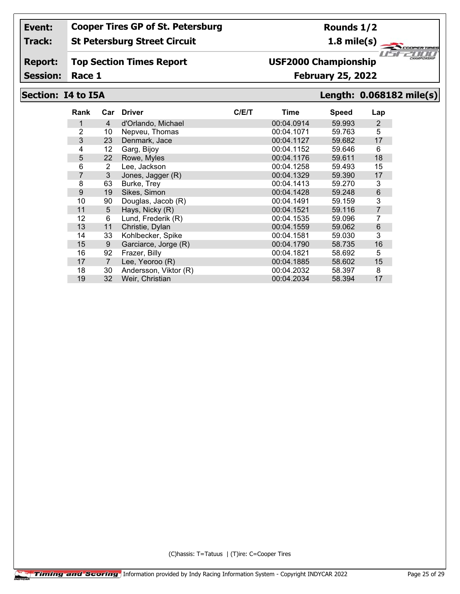#### **Track: St Petersburg Street Circuit**

#### **Report: Top Section Times Report**

Session: Race 1

## **USF2000 Championship**

### **Race 1 February 25, 2022**

### **Section: I4 to I5A Length: 0.068182 mile(s)**

*1151* 

"ar

**ERTIRE** 2000

| Rank | Car            | <b>Driver</b>         | C/E/T | Time       | <b>Speed</b> | Lap            |
|------|----------------|-----------------------|-------|------------|--------------|----------------|
| 1    | 4              | d'Orlando, Michael    |       | 00:04.0914 | 59.993       | 2              |
| 2    | 10             | Nepveu, Thomas        |       | 00:04.1071 | 59.763       | 5              |
| 3    | 23             | Denmark, Jace         |       | 00:04.1127 | 59.682       | 17             |
| 4    | 12             | Garg, Bijoy           |       | 00:04.1152 | 59.646       | 6              |
| 5    | 22             | Rowe, Myles           |       | 00:04.1176 | 59.611       | 18             |
| 6    | 2              | Lee, Jackson          |       | 00:04.1258 | 59.493       | 15             |
| 7    | 3              | Jones, Jagger (R)     |       | 00:04.1329 | 59.390       | 17             |
| 8    | 63             | Burke, Trey           |       | 00:04.1413 | 59,270       | 3              |
| 9    | 19             | Sikes, Simon          |       | 00:04.1428 | 59.248       | 6              |
| 10   | 90             | Douglas, Jacob (R)    |       | 00:04.1491 | 59.159       | 3              |
| 11   | 5              | Hays, Nicky (R)       |       | 00:04.1521 | 59.116       | $\overline{7}$ |
| 12   | 6              | Lund, Frederik (R)    |       | 00:04.1535 | 59.096       |                |
| 13   | 11             | Christie, Dylan       |       | 00:04.1559 | 59.062       | 6              |
| 14   | 33             | Kohlbecker, Spike     |       | 00:04.1581 | 59.030       | 3              |
| 15   | 9              | Garciarce, Jorge (R)  |       | 00:04.1790 | 58.735       | 16             |
| 16   | 92             | Frazer, Billy         |       | 00:04.1821 | 58.692       | 5              |
| 17   | $\overline{7}$ | Lee, Yeoroo (R)       |       | 00:04.1885 | 58.602       | 15             |
| 18   | 30             | Andersson, Viktor (R) |       | 00:04.2032 | 58.397       | 8              |
| 19   | 32             | Weir, Christian       |       | 00:04.2034 | 58.394       | 17             |

(C)hassis: T=Tatuus | (T)ire: C=Cooper Tires

**Rounds 1/2**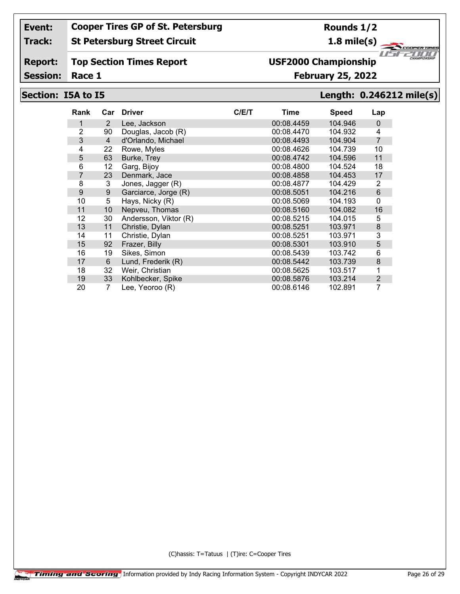#### **Track: St Petersburg Street Circuit**

#### **Report: Top Section Times Report**

Session: Race 1

## **Race 1 February 25, 2022 USF2000 Championship**

## **Section: I5A to I5 Length: 0.246212 mile(s)**

| <b>Rank</b>    | Car            | <b>Driver</b>         | C/ET | Time       | <b>Speed</b> | Lap            |
|----------------|----------------|-----------------------|------|------------|--------------|----------------|
| 1              | $\overline{2}$ | Lee, Jackson          |      | 00:08.4459 | 104.946      | 0              |
| 2              | 90             | Douglas, Jacob (R)    |      | 00:08.4470 | 104.932      | 4              |
| 3              | 4              | d'Orlando, Michael    |      | 00:08.4493 | 104.904      | $\overline{7}$ |
| 4              | 22             | Rowe, Myles           |      | 00:08.4626 | 104.739      | 10             |
| 5              | 63             | Burke, Trey           |      | 00:08.4742 | 104.596      | 11             |
| 6              | 12             | Garg, Bijoy           |      | 00:08.4800 | 104.524      | 18             |
| $\overline{7}$ | 23             | Denmark, Jace         |      | 00:08.4858 | 104.453      | 17             |
| 8              | 3              | Jones, Jagger (R)     |      | 00:08.4877 | 104.429      | 2              |
| 9              | 9              | Garciarce, Jorge (R)  |      | 00:08.5051 | 104.216      | 6              |
| 10             | 5              | Hays, Nicky (R)       |      | 00:08.5069 | 104.193      | 0              |
| 11             | 10             | Nepveu, Thomas        |      | 00:08.5160 | 104.082      | 16             |
| 12             | 30             | Andersson, Viktor (R) |      | 00:08.5215 | 104.015      | 5              |
| 13             | 11             | Christie, Dylan       |      | 00:08.5251 | 103.971      | $\bf 8$        |
| 14             | 11             | Christie, Dylan       |      | 00:08.5251 | 103.971      | 3              |
| 15             | 92             | Frazer, Billy         |      | 00:08.5301 | 103.910      | 5              |
| 16             | 19             | Sikes, Simon          |      | 00:08.5439 | 103.742      | 6              |
| 17             | 6              | Lund, Frederik (R)    |      | 00:08.5442 | 103.739      | 8              |
| 18             | 32             | Weir, Christian       |      | 00:08.5625 | 103.517      | 1              |
| 19             | 33             | Kohlbecker, Spike     |      | 00:08.5876 | 103.214      | $\overline{2}$ |
| 20             | 7              | Lee, Yeoroo (R)       |      | 00:08.6146 | 102.891      | $\overline{7}$ |

(C)hassis: T=Tatuus | (T)ire: C=Cooper Tires

**Rounds 1/2**

**1.8 mile(s)**

ER TIRE 2000 *1151* "ar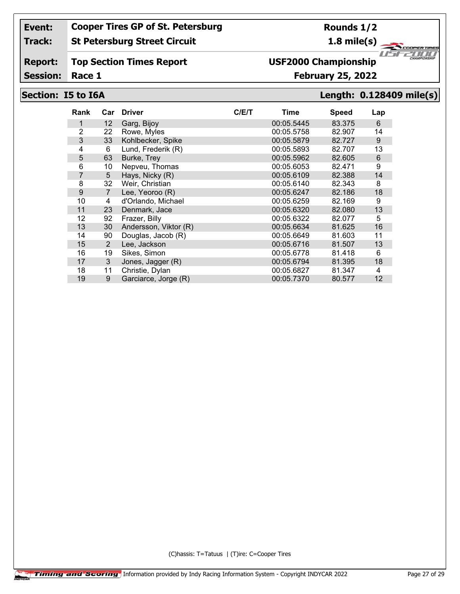#### **Track: St Petersburg Street Circuit**

**Rounds 1/2**

**1.8 mile(s)**

#### **Report: Top Section Times Report**

Session: Race 1

## **USF2000 Championship**

**Race 1 February 25, 2022**

### **Section: I5 to I6A Length: 0.128409 mile(s)**

*1151* 

"ar

ER TIRE 2000

| Rank           | Car            | <b>Driver</b>         | C/ET | Time       | <b>Speed</b> | Lap |
|----------------|----------------|-----------------------|------|------------|--------------|-----|
| 1              | 12             | Garg, Bijoy           |      | 00:05.5445 | 83.375       | 6   |
| $\overline{2}$ | 22             | Rowe, Myles           |      | 00:05.5758 | 82.907       | 14  |
| 3              | 33             | Kohlbecker, Spike     |      | 00:05.5879 | 82.727       | 9   |
| 4              | 6              | Lund, Frederik (R)    |      | 00:05.5893 | 82.707       | 13  |
| 5              | 63             | Burke, Trey           |      | 00:05.5962 | 82.605       | 6   |
| 6              | 10             | Nepveu, Thomas        |      | 00:05.6053 | 82.471       | 9   |
| 7              | 5              | Hays, Nicky (R)       |      | 00:05.6109 | 82.388       | 14  |
| 8              | 32             | Weir, Christian       |      | 00:05.6140 | 82.343       | 8   |
| 9              | $\overline{7}$ | Lee, Yeoroo (R)       |      | 00:05.6247 | 82.186       | 18  |
| 10             | 4              | d'Orlando, Michael    |      | 00:05.6259 | 82.169       | 9   |
| 11             | 23             | Denmark, Jace         |      | 00:05.6320 | 82.080       | 13  |
| 12             | 92             | Frazer, Billy         |      | 00:05.6322 | 82.077       | 5   |
| 13             | 30             | Andersson, Viktor (R) |      | 00:05.6634 | 81.625       | 16  |
| 14             | 90             | Douglas, Jacob (R)    |      | 00:05.6649 | 81.603       | 11  |
| 15             | 2              | Lee, Jackson          |      | 00:05.6716 | 81.507       | 13  |
| 16             | 19             | Sikes, Simon          |      | 00:05.6778 | 81.418       | 6   |
| 17             | 3              | Jones, Jagger (R)     |      | 00:05.6794 | 81.395       | 18  |
| 18             | 11             | Christie, Dylan       |      | 00:05.6827 | 81.347       | 4   |
| 19             | 9              | Garciarce, Jorge (R)  |      | 00:05.7370 | 80.577       | 12  |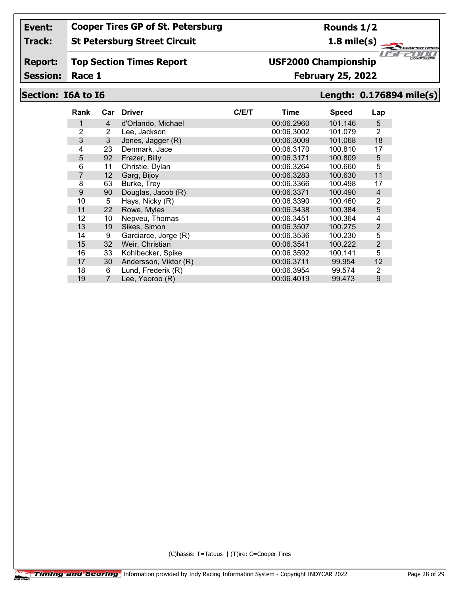#### **Track: St Petersburg Street Circuit**

#### **Report: Top Section Times Report**

Session: Race 1

# **USF2000 Championship**

## **Race 1 February 25, 2022**

### **Section: I6A to I6 Length: 0.176894 mile(s)**

*1151* 

"ar

ER TIRE 2000

| Rank | Car            | <b>Driver</b>         | C/E/T | Time       | <b>Speed</b> | Lap            |
|------|----------------|-----------------------|-------|------------|--------------|----------------|
| 1    | 4              | d'Orlando, Michael    |       | 00:06.2960 | 101.146      | 5              |
| 2    | 2              | Lee, Jackson          |       | 00:06.3002 | 101.079      | $\overline{2}$ |
| 3    | 3              | Jones, Jagger (R)     |       | 00:06.3009 | 101.068      | 18             |
| 4    | 23             | Denmark, Jace         |       | 00:06.3170 | 100.810      | 17             |
| 5    | 92             | Frazer, Billy         |       | 00:06.3171 | 100.809      | 5              |
| 6    | 11             | Christie, Dylan       |       | 00:06.3264 | 100.660      | 5              |
| 7    | 12             | Garg, Bijoy           |       | 00:06.3283 | 100.630      | 11             |
| 8    | 63             | Burke, Trey           |       | 00:06.3366 | 100.498      | 17             |
| 9    | 90             | Douglas, Jacob (R)    |       | 00:06.3371 | 100.490      | 4              |
| 10   | 5              | Hays, Nicky (R)       |       | 00:06.3390 | 100.460      | 2              |
| 11   | 22             | Rowe, Myles           |       | 00:06.3438 | 100.384      | 5              |
| 12   | 10             | Nepveu, Thomas        |       | 00:06.3451 | 100.364      | 4              |
| 13   | 19             | Sikes, Simon          |       | 00:06.3507 | 100.275      | 2              |
| 14   | 9              | Garciarce, Jorge (R)  |       | 00:06.3536 | 100.230      | 5              |
| 15   | 32             | Weir, Christian       |       | 00:06.3541 | 100.222      | 2              |
| 16   | 33             | Kohlbecker, Spike     |       | 00:06.3592 | 100.141      | 5              |
| 17   | 30             | Andersson, Viktor (R) |       | 00:06.3711 | 99.954       | 12             |
| 18   | 6              | Lund, Frederik (R)    |       | 00:06.3954 | 99.574       | 2              |
| 19   | $\overline{7}$ | Lee, Yeoroo (R)       |       | 00:06.4019 | 99.473       | 9              |

(C)hassis: T=Tatuus | (T)ire: C=Cooper Tires

**Rounds 1/2 1.8 mile(s)**